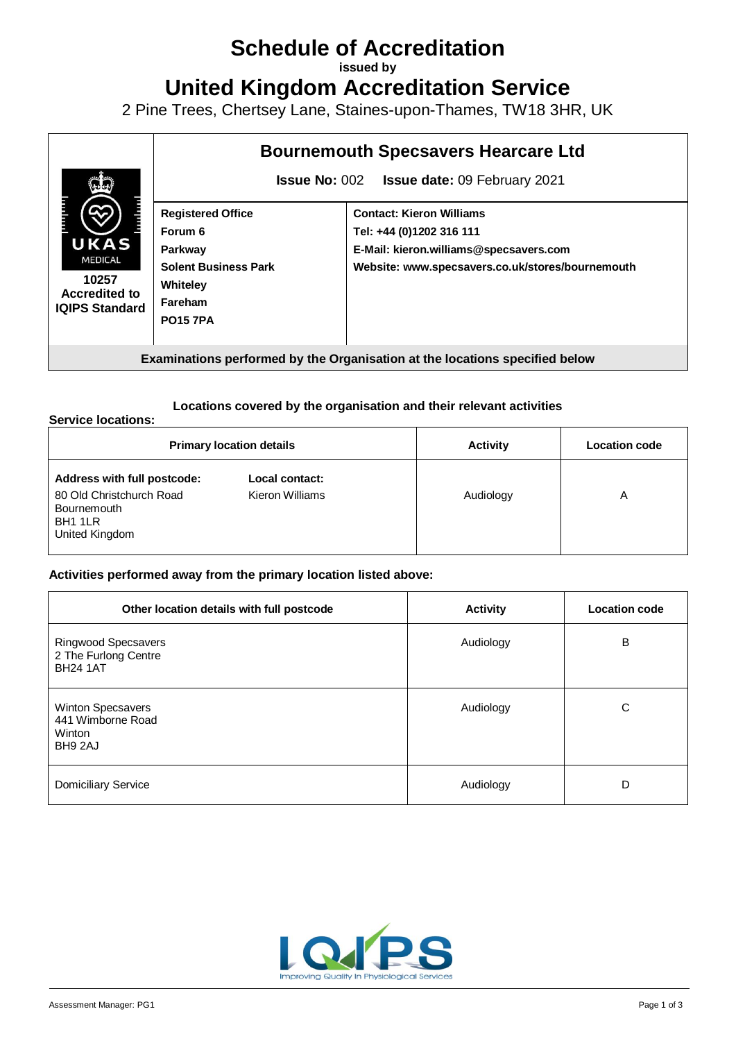# **Schedule of Accreditation**

**issued by**

**United Kingdom Accreditation Service**

2 Pine Trees, Chertsey Lane, Staines-upon-Thames, TW18 3HR, UK

|                                                                                  |                                                             | <b>Bournemouth Specsavers Hearcare Ltd</b>       |
|----------------------------------------------------------------------------------|-------------------------------------------------------------|--------------------------------------------------|
|                                                                                  | <b>Issue No: 002</b><br><b>Issue date: 09 February 2021</b> |                                                  |
|                                                                                  | <b>Registered Office</b>                                    | <b>Contact: Kieron Williams</b>                  |
|                                                                                  | Forum 6                                                     | Tel: +44 (0)1202 316 111                         |
| UKAS<br><b>MEDICAL</b><br>10257<br><b>Accredited to</b><br><b>IQIPS Standard</b> | Parkway                                                     | E-Mail: kieron.williams@specsavers.com           |
|                                                                                  | <b>Solent Business Park</b>                                 | Website: www.specsavers.co.uk/stores/bournemouth |
|                                                                                  | Whiteley                                                    |                                                  |
|                                                                                  | Fareham                                                     |                                                  |
|                                                                                  | <b>PO157PA</b>                                              |                                                  |
|                                                                                  |                                                             |                                                  |
| Examinations performed by the Organisation at the locations specified below      |                                                             |                                                  |

### **Locations covered by the organisation and their relevant activities**

#### **Service locations:**

| <b>Primary location details</b>                                                                     |                                   | <b>Activity</b> | <b>Location code</b> |
|-----------------------------------------------------------------------------------------------------|-----------------------------------|-----------------|----------------------|
| Address with full postcode:<br>80 Old Christchurch Road<br>Bournemouth<br>BH1 1LR<br>United Kingdom | Local contact:<br>Kieron Williams | Audiology       | A                    |

### **Activities performed away from the primary location listed above:**

| Other location details with full postcode                      | <b>Activity</b> | <b>Location code</b> |
|----------------------------------------------------------------|-----------------|----------------------|
| Ringwood Specsavers<br>2 The Furlong Centre<br><b>BH24 1AT</b> | Audiology       | B                    |
| Winton Specsavers<br>441 Wimborne Road<br>Winton<br>BH9 2AJ    | Audiology       | C                    |
| <b>Domiciliary Service</b>                                     | Audiology       | D                    |

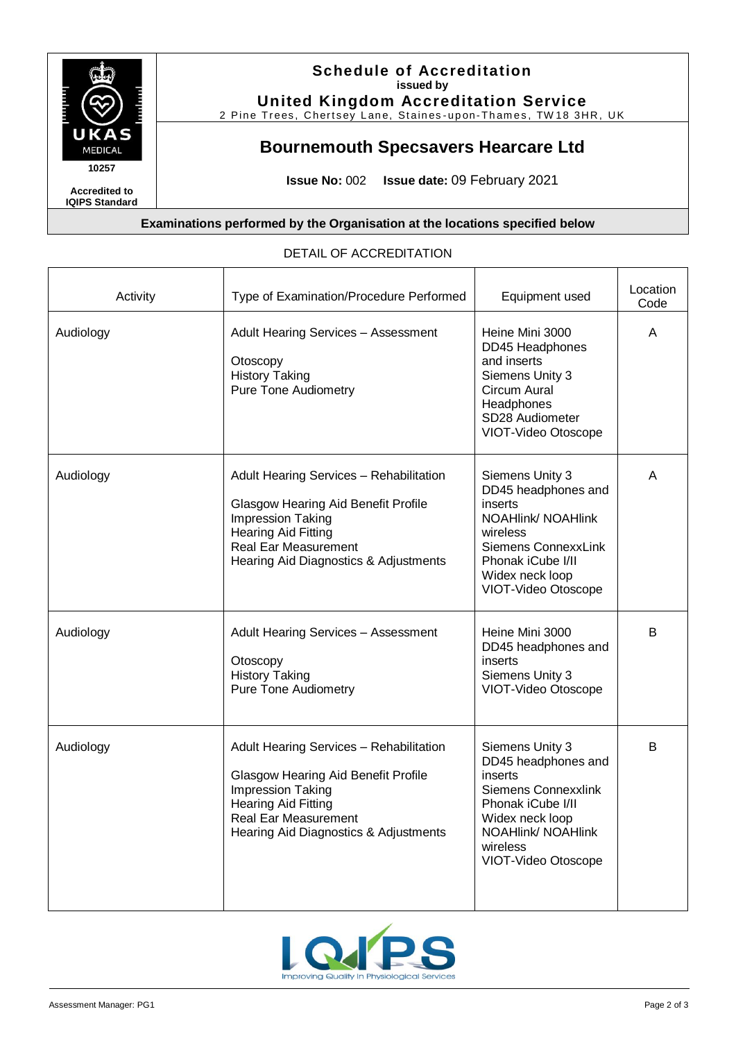

## **Schedule of Accreditation issued by**

**United Kingdom Accreditation Service**

2 Pine Trees, Chertsey Lane, Staines-upon-Thames, TW18 3HR, UK

## **Bournemouth Specsavers Hearcare Ltd**

**Issue No:** 002 **Issue date:** 09 February 2021

┯

┱

**Examinations performed by the Organisation at the locations specified below**

| Activity  | Type of Examination/Procedure Performed                                                                                                                                                                          | Equipment used                                                                                                                                                                   | Location<br>Code |
|-----------|------------------------------------------------------------------------------------------------------------------------------------------------------------------------------------------------------------------|----------------------------------------------------------------------------------------------------------------------------------------------------------------------------------|------------------|
| Audiology | <b>Adult Hearing Services - Assessment</b><br>Otoscopy<br><b>History Taking</b><br><b>Pure Tone Audiometry</b>                                                                                                   | Heine Mini 3000<br>DD45 Headphones<br>and inserts<br>Siemens Unity 3<br>Circum Aural<br>Headphones<br>SD28 Audiometer<br>VIOT-Video Otoscope                                     | A                |
| Audiology | Adult Hearing Services - Rehabilitation<br>Glasgow Hearing Aid Benefit Profile<br>Impression Taking<br><b>Hearing Aid Fitting</b><br><b>Real Ear Measurement</b><br>Hearing Aid Diagnostics & Adjustments        | Siemens Unity 3<br>DD45 headphones and<br>inserts<br><b>NOAHlink/ NOAHlink</b><br>wireless<br>Siemens ConnexxLink<br>Phonak iCube I/II<br>Widex neck loop<br>VIOT-Video Otoscope | A                |
| Audiology | <b>Adult Hearing Services - Assessment</b><br>Otoscopy<br><b>History Taking</b><br><b>Pure Tone Audiometry</b>                                                                                                   | Heine Mini 3000<br>DD45 headphones and<br>inserts<br>Siemens Unity 3<br>VIOT-Video Otoscope                                                                                      | B                |
| Audiology | Adult Hearing Services - Rehabilitation<br><b>Glasgow Hearing Aid Benefit Profile</b><br>Impression Taking<br><b>Hearing Aid Fitting</b><br><b>Real Ear Measurement</b><br>Hearing Aid Diagnostics & Adjustments | Siemens Unity 3<br>DD45 headphones and<br>inserts<br>Siemens Connexxlink<br>Phonak iCube I/II<br>Widex neck loop<br><b>NOAHlink/ NOAHlink</b><br>wireless<br>VIOT-Video Otoscope | B                |

### DETAIL OF ACCREDITATION

Т